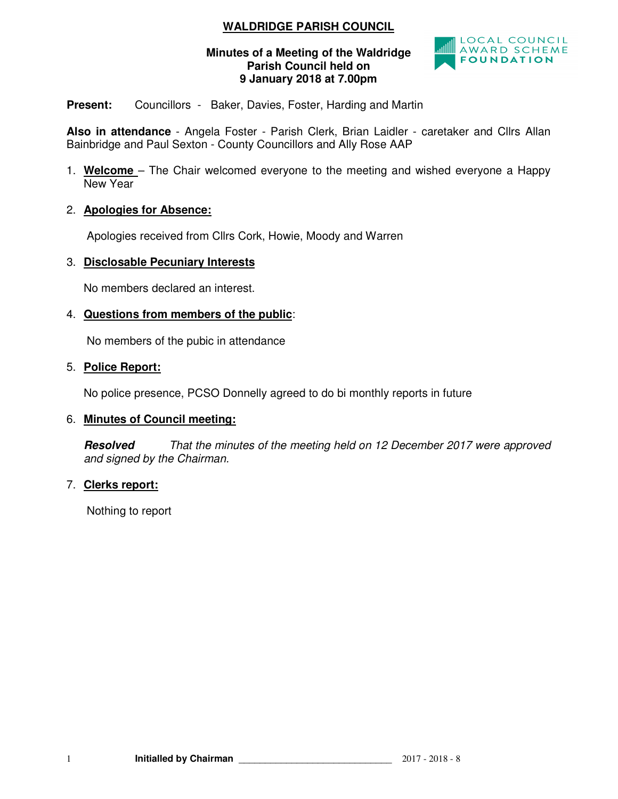# **WALDRIDGE PARISH COUNCIL**

## **Minutes of a Meeting of the Waldridge Parish Council held on 9 January 2018 at 7.00pm**



# **Present:** Councillors - Baker, Davies, Foster, Harding and Martin

**Also in attendance** - Angela Foster - Parish Clerk, Brian Laidler - caretaker and Cllrs Allan Bainbridge and Paul Sexton - County Councillors and Ally Rose AAP

1. **Welcome** – The Chair welcomed everyone to the meeting and wished everyone a Happy New Year

# 2. **Apologies for Absence:**

Apologies received from Cllrs Cork, Howie, Moody and Warren

## 3. **Disclosable Pecuniary Interests**

No members declared an interest.

## 4. **Questions from members of the public**:

No members of the pubic in attendance

#### 5. **Police Report:**

No police presence, PCSO Donnelly agreed to do bi monthly reports in future

## 6. **Minutes of Council meeting:**

**Resolved** *That the minutes of the meeting held on 12 December 2017 were approved and signed by the Chairman.* 

## 7. **Clerks report:**

Nothing to report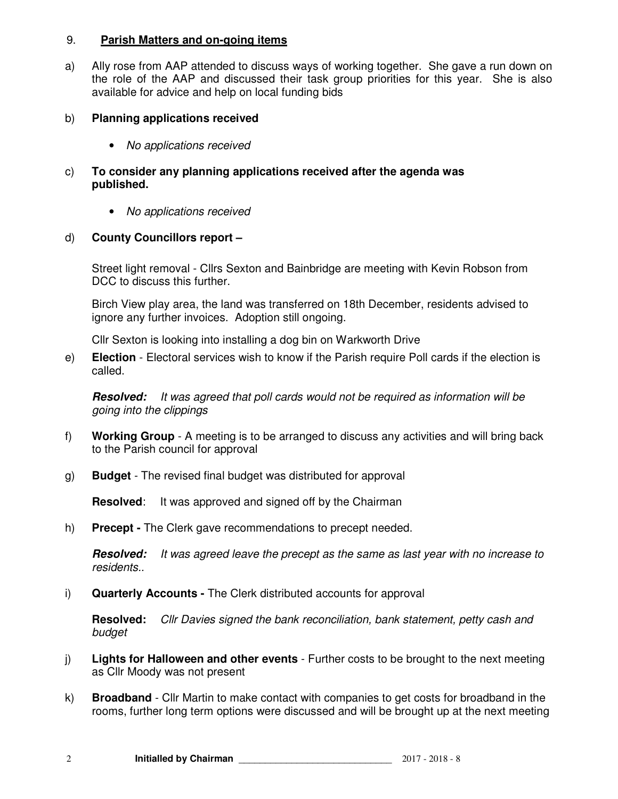#### 9. **Parish Matters and on-going items**

a) Ally rose from AAP attended to discuss ways of working together. She gave a run down on the role of the AAP and discussed their task group priorities for this year. She is also available for advice and help on local funding bids

## b) **Planning applications received**

- *No applications received*
- c) **To consider any planning applications received after the agenda was published.** 
	- *No applications received*

# d) **County Councillors report –**

Street light removal - Cllrs Sexton and Bainbridge are meeting with Kevin Robson from DCC to discuss this further.

Birch View play area, the land was transferred on 18th December, residents advised to ignore any further invoices. Adoption still ongoing.

Cllr Sexton is looking into installing a dog bin on Warkworth Drive

e) **Election** - Electoral services wish to know if the Parish require Poll cards if the election is called.

**Resolved:** *It was agreed that poll cards would not be required as information will be going into the clippings* 

- f) **Working Group** A meeting is to be arranged to discuss any activities and will bring back to the Parish council for approval
- g) **Budget** The revised final budget was distributed for approval

**Resolved:** It was approved and signed off by the Chairman

h) **Precept -** The Clerk gave recommendations to precept needed.

**Resolved:** *It was agreed leave the precept as the same as last year with no increase to residents..* 

i) **Quarterly Accounts -** The Clerk distributed accounts for approval

**Resolved:** *Cllr Davies signed the bank reconciliation, bank statement, petty cash and budget*

- j) **Lights for Halloween and other events**  Further costs to be brought to the next meeting as Cllr Moody was not present
- k) **Broadband**  Cllr Martin to make contact with companies to get costs for broadband in the rooms, further long term options were discussed and will be brought up at the next meeting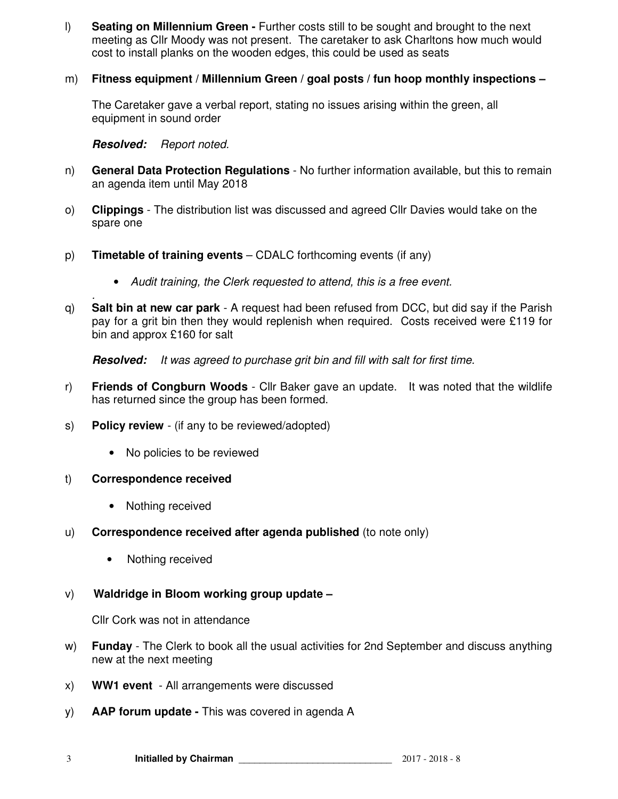- l) **Seating on Millennium Green** Further costs still to be sought and brought to the next meeting as Cllr Moody was not present. The caretaker to ask Charltons how much would cost to install planks on the wooden edges, this could be used as seats
- m) **Fitness equipment / Millennium Green / goal posts / fun hoop monthly inspections**

The Caretaker gave a verbal report, stating no issues arising within the green, all equipment in sound order

**Resolved:** *Report noted.* 

- n) **General Data Protection Regulations** No further information available, but this to remain an agenda item until May 2018
- o) **Clippings** The distribution list was discussed and agreed Cllr Davies would take on the spare one
- p) **Timetable of training events** CDALC forthcoming events (if any)
	- *Audit training, the Clerk requested to attend, this is a free event.*
- *.*  q) **Salt bin at new car park** - A request had been refused from DCC, but did say if the Parish pay for a grit bin then they would replenish when required. Costs received were £119 for bin and approx £160 for salt

**Resolved:** *It was agreed to purchase grit bin and fill with salt for first time.* 

- r) **Friends of Congburn Woods**  Cllr Baker gave an update. It was noted that the wildlife has returned since the group has been formed.
- s) **Policy review**  (if any to be reviewed/adopted)
	- No policies to be reviewed
- t) **Correspondence received** 
	- Nothing received
- u) **Correspondence received after agenda published** (to note only)
	- Nothing received
- v) **Waldridge in Bloom working group update**

Cllr Cork was not in attendance

- w) **Funday** The Clerk to book all the usual activities for 2nd September and discuss anything new at the next meeting
- x) **WW1 event**  All arrangements were discussed
- y) **AAP forum update** This was covered in agenda A